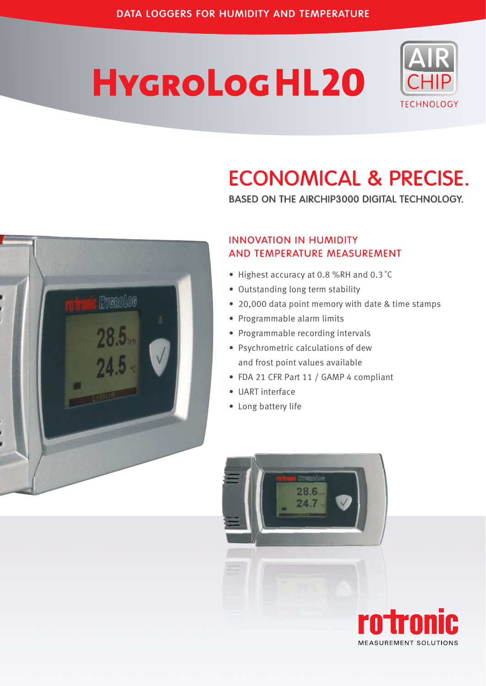# **HYGROLOGHL20**



# ECONOMICAL & PRECISE.

BASED ON THE AIRCHIP3000 DIGITAL TECHNOLOGY.



#### INNOVATION IN HUMIDITY AND TEMPERATURE MEASUREMENT

- Highest accuracy at 0.8 %RH and 0.3 ˚C
- Outstanding long term stability
- 20,000 data point memory with date & time stamps
- Programmable alarm limits
- Programmable recording intervals
- Psychrometric calculations of dew and frost point values available
- FDA 21 CFR Part 11 / GAMP 4 compliant
- UART interface
- Long battery life



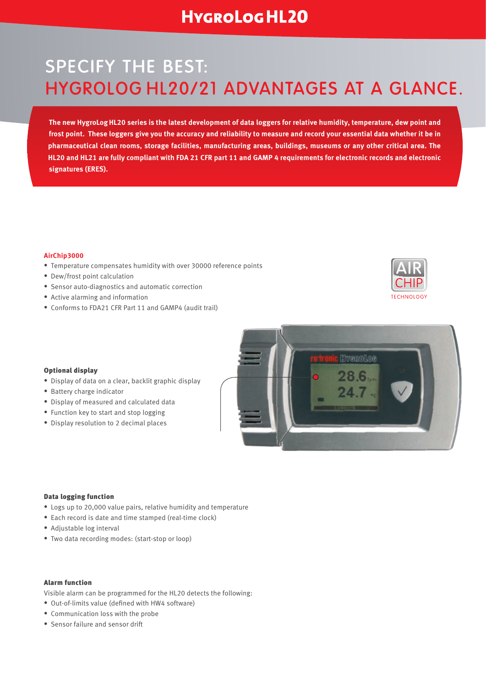### **HYGROLOGHL20**

# SPECIFY THE BEST: HYGROLOG HL20/21 ADVANTAGES AT A GLANCE.

**The new HygroLog HL20 series is the latest development of data loggers for relative humidity, temperature, dew point and frost point. These loggers give you the accuracy and reliability to measure and record your essential data whether it be in pharmaceutical clean rooms, storage facilities, manufacturing areas, buildings, museums or any other critical area. The HL20 and HL21 are fully compliant with FDA 21 CFR part 11 and GAMP 4 requirements for electronic records and electronic signatures (ERES).**

#### **AirChip3000**

- Temperature compensates humidity with over 30000 reference points
- Dew/frost point calculation
- Sensor auto-diagnostics and automatic correction
- Active alarming and information
- Conforms to FDA21 CFR Part 11 and GAMP4 (audit trail)



#### Optional display

- Display of data on a clear, backlit graphic display
- Battery charge indicator
- Display of measured and calculated data
- Function key to start and stop logging
- Display resolution to 2 decimal places



#### Data logging function

- Logs up to 20,000 value pairs, relative humidity and temperature
- Each record is date and time stamped (real-time clock)
- Adjustable log interval
- Two data recording modes: (start-stop or loop)

#### Alarm function

Visible alarm can be programmed for the HL20 detects the following:

- Out-of-limits value (defined with HW4 software)
- Communication loss with the probe
- Sensor failure and sensor drift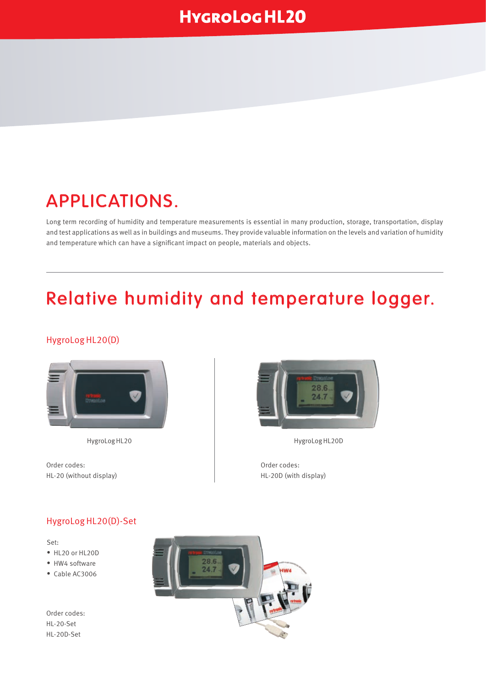# APPLICATIONS.

Long term recording of humidity and temperature measurements is essential in many production, storage, transportation, display and test applications as well as in buildings and museums. They provide valuable information on the levels and variation of humidity and temperature which can have a significant impact on people, materials and objects.

# Relative humidity and temperature logger.

#### HygroLog HL20(D)



Order codes: HL-20 (without display)



HygroLog HL20 HygroLog HL20D

Order codes: HL-20D (with display)

#### HygroLog HL20(D)-Set

Set:

- HL20 or HL20D
- HW4 software
- Cable AC3006

Order codes: HL-20-Set HL-20D-Set